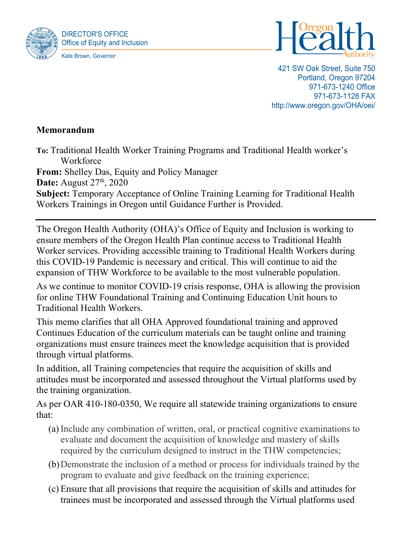



421 SW Oak Street, Suite 750 Portland, Oregon 97204 971-673-1240 Office 971-673-1128 FAX http://www.oregon.gov/OHA/oei/

## **Memorandum**

**To:** Traditional Health Worker Training Programs and Traditional Health worker's **Workforce From:** Shelley Das, Equity and Policy Manager **Date:** August 27<sup>th</sup>, 2020 **Subject:** Temporary Acceptance of Online Training Learning for Traditional Health

Workers Trainings in Oregon until Guidance Further is Provided.

The Oregon Health Authority (OHA)'s Office of Equity and Inclusion is working to ensure members of the Oregon Health Plan continue access to Traditional Health Worker services. Providing accessible training to Traditional Health Workers during this COVID-19 Pandemic is necessary and critical. This will continue to aid the expansion of THW Workforce to be available to the most vulnerable population.

As we continue to monitor COVID-19 crisis response, OHA is allowing the provision for online THW Foundational Training and Continuing Education Unit hours to Traditional Health Workers.

This memo clarifies that all OHA Approved foundational training and approved Continues Education of the curriculum materials can be taught online and training organizations must ensure trainees meet the knowledge acquisition that is provided through virtual platforms.

In addition, all Training competencies that require the acquisition of skills and attitudes must be incorporated and assessed throughout the Virtual platforms used by the training organization.

As per OAR 410-180-0350, We require all statewide training organizations to ensure that:

- (a) Include any combination of written, oral, or practical cognitive examinations to evaluate and document the acquisition of knowledge and mastery of skills required by the curriculum designed to instruct in the THW competencies;
- (b)Demonstrate the inclusion of a method or process for individuals trained by the program to evaluate and give feedback on the training experience;
- (c) Ensure that all provisions that require the acquisition of skills and attitudes for trainees must be incorporated and assessed through the Virtual platforms used